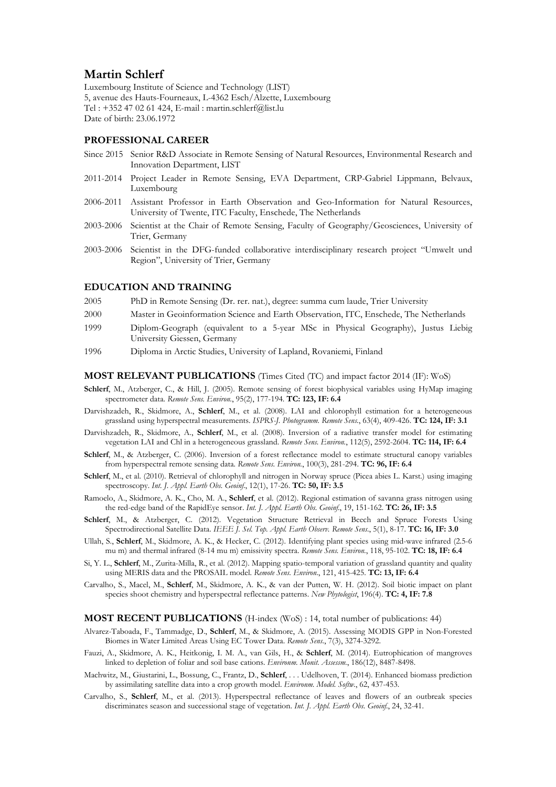# **Martin Schlerf**

Luxembourg Institute of Science and Technology (LIST) 5, avenue des Hauts-Fourneaux, L-4362 Esch/Alzette, Luxembourg Tel : +352 47 02 61 424, E-mail : martin.schlerf@list.lu Date of birth: 23.06.1972

# **PROFESSIONAL CAREER**

- Since 2015 Senior R&D Associate in Remote Sensing of Natural Resources, Environmental Research and Innovation Department, LIST
- 2011-2014 Project Leader in Remote Sensing, EVA Department, CRP-Gabriel Lippmann, Belvaux, Luxembourg
- 2006-2011 Assistant Professor in Earth Observation and Geo-Information for Natural Resources, University of Twente, ITC Faculty, Enschede, The Netherlands
- 2003-2006 Scientist at the Chair of Remote Sensing, Faculty of Geography/Geosciences, University of Trier, Germany
- 2003-2006 Scientist in the DFG-funded collaborative interdisciplinary research project "Umwelt und Region", University of Trier, Germany

## **EDUCATION AND TRAINING**

- 2005 PhD in Remote Sensing (Dr. rer. nat.), degree: summa cum laude, Trier University
- 2000 Master in Geoinformation Science and Earth Observation, ITC, Enschede, The Netherlands
- 1999 Diplom-Geograph (equivalent to a 5-year MSc in Physical Geography), Justus Liebig University Giessen, Germany
- 1996 Diploma in Arctic Studies, University of Lapland, Rovaniemi, Finland

#### **MOST RELEVANT PUBLICATIONS** (Times Cited (TC) and impact factor 2014 (IF): WoS)

- **Schlerf**, M., Atzberger, C., & Hill, J. (2005). Remote sensing of forest biophysical variables using HyMap imaging spectrometer data. *Remote Sens. Environ.*, 95(2), 177-194. **TC: 123, IF: 6.4**
- Darvishzadeh, R., Skidmore, A., **Schlerf**, M., et al. (2008). LAI and chlorophyll estimation for a heterogeneous grassland using hyperspectral measurements. *ISPRS-J. Photogramm. Remote Sens.*, 63(4), 409-426. **TC: 124, IF: 3.1**
- Darvishzadeh, R., Skidmore, A., **Schlerf**, M., et al. (2008). Inversion of a radiative transfer model for estimating vegetation LAI and Chl in a heterogeneous grassland. *Remote Sens. Environ.*, 112(5), 2592-2604. **TC: 114, IF: 6.4**
- **Schlerf**, M., & Atzberger, C. (2006). Inversion of a forest reflectance model to estimate structural canopy variables from hyperspectral remote sensing data. *Remote Sens. Environ.*, 100(3), 281-294. **TC: 96, IF: 6.4**
- **Schlerf**, M., et al. (2010). Retrieval of chlorophyll and nitrogen in Norway spruce (Picea abies L. Karst.) using imaging spectroscopy. *Int. J. Appl. Earth Obs. Geoinf.*, 12(1), 17-26. **TC: 50, IF: 3.5**
- Ramoelo, A., Skidmore, A. K., Cho, M. A., **Schlerf**, et al. (2012). Regional estimation of savanna grass nitrogen using the red-edge band of the RapidEye sensor. *Int. J. Appl. Earth Obs. Geoinf.*, 19, 151-162. **TC: 26, IF: 3.5**
- **Schlerf**, M., & Atzberger, C. (2012). Vegetation Structure Retrieval in Beech and Spruce Forests Using Spectrodirectional Satellite Data. *IEEE J. Sel. Top. Appl. Earth Observ. Remote Sens.*, 5(1), 8-17. **TC: 16, IF: 3.0**
- Ullah, S., **Schlerf**, M., Skidmore, A. K., & Hecker, C. (2012). Identifying plant species using mid-wave infrared (2.5-6 mu m) and thermal infrared (8-14 mu m) emissivity spectra. *Remote Sens. Environ.*, 118, 95-102. **TC: 18, IF: 6.4**
- Si, Y. L., **Schlerf**, M., Zurita-Milla, R., et al. (2012). Mapping spatio-temporal variation of grassland quantity and quality using MERIS data and the PROSAIL model. *Remote Sens. Environ.*, 121, 415-425. **TC: 13, IF: 6.4**
- Carvalho, S., Macel, M., **Schlerf**, M., Skidmore, A. K., & van der Putten, W. H. (2012). Soil biotic impact on plant species shoot chemistry and hyperspectral reflectance patterns. *New Phytologist*, 196(4). **TC: 4, IF: 7.8**

#### **MOST RECENT PUBLICATIONS** (H-index (WoS) : 14, total number of publications: 44)

- Alvarez-Taboada, F., Tammadge, D., **Schlerf**, M., & Skidmore, A. (2015). Assessing MODIS GPP in Non-Forested Biomes in Water Limited Areas Using EC Tower Data. *Remote Sens.*, 7(3), 3274-3292.
- Fauzi, A., Skidmore, A. K., Heitkonig, I. M. A., van Gils, H., & **Schlerf**, M. (2014). Eutrophication of mangroves linked to depletion of foliar and soil base cations. *Environm. Monit. Assessm.*, 186(12), 8487-8498.
- Machwitz, M., Giustarini, L., Bossung, C., Frantz, D., **Schlerf**, . . . Udelhoven, T. (2014). Enhanced biomass prediction by assimilating satellite data into a crop growth model. *Environm. Model. Softw.*, 62, 437-453.
- Carvalho, S., **Schlerf**, M., et al. (2013). Hyperspectral reflectance of leaves and flowers of an outbreak species discriminates season and successional stage of vegetation. *Int. J. Appl. Earth Obs. Geoinf.*, 24, 32-41.